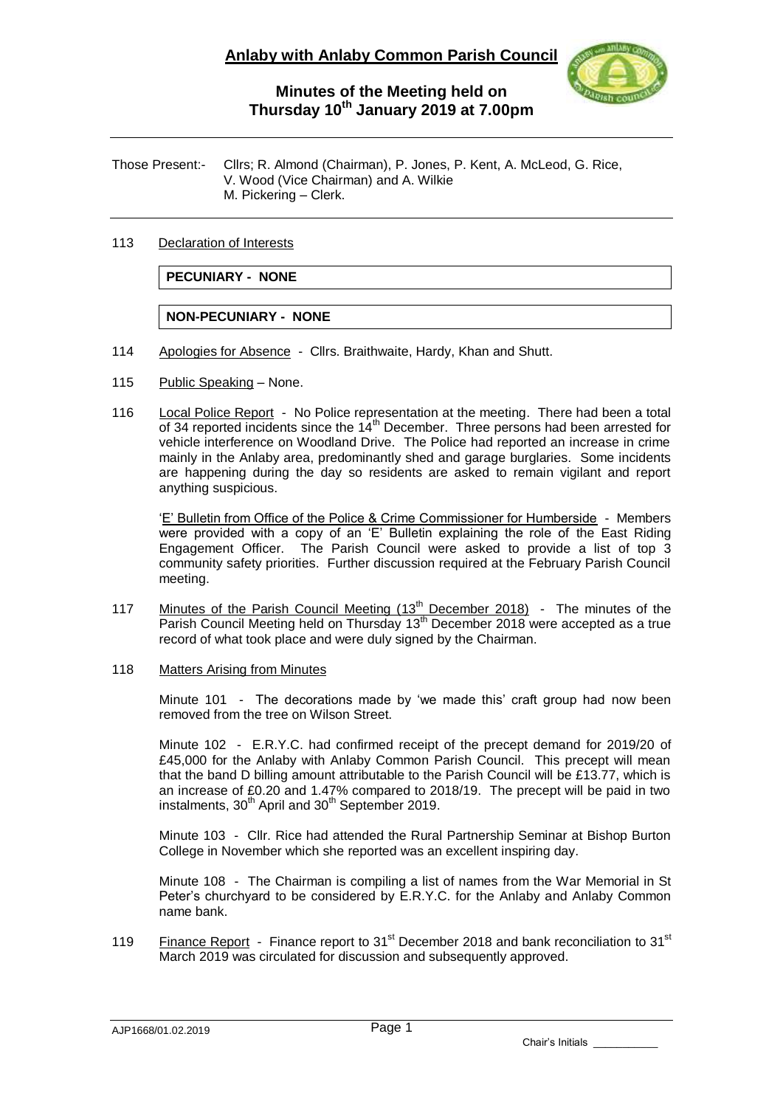

Those Present:- Cllrs; R. Almond (Chairman), P. Jones, P. Kent, A. McLeod, G. Rice, V. Wood (Vice Chairman) and A. Wilkie M. Pickering – Clerk.

## 113 Declaration of Interests

**PECUNIARY - NONE**

**NON-PECUNIARY - NONE**

- 114 Apologies for Absence Cllrs. Braithwaite, Hardy, Khan and Shutt.
- 115 Public Speaking None.
- 116 Local Police Report No Police representation at the meeting. There had been a total of 34 reported incidents since the  $14<sup>th</sup>$  December. Three persons had been arrested for vehicle interference on Woodland Drive. The Police had reported an increase in crime mainly in the Anlaby area, predominantly shed and garage burglaries. Some incidents are happening during the day so residents are asked to remain vigilant and report anything suspicious.

'E' Bulletin from Office of the Police & Crime Commissioner for Humberside - Members were provided with a copy of an 'E' Bulletin explaining the role of the East Riding Engagement Officer. The Parish Council were asked to provide a list of top 3 community safety priorities. Further discussion required at the February Parish Council meeting.

117 Minutes of the Parish Council Meeting  $(13<sup>th</sup>$  December 2018) - The minutes of the Parish Council Meeting held on Thursday 13<sup>th</sup> December 2018 were accepted as a true record of what took place and were duly signed by the Chairman.

## 118 Matters Arising from Minutes

Minute 101 - The decorations made by 'we made this' craft group had now been removed from the tree on Wilson Street.

Minute 102 - E.R.Y.C. had confirmed receipt of the precept demand for 2019/20 of £45,000 for the Anlaby with Anlaby Common Parish Council. This precept will mean that the band D billing amount attributable to the Parish Council will be £13.77, which is an increase of £0.20 and 1.47% compared to 2018/19. The precept will be paid in two instalments, 30<sup>th</sup> April and 30<sup>th</sup> September 2019.

Minute 103 - Cllr. Rice had attended the Rural Partnership Seminar at Bishop Burton College in November which she reported was an excellent inspiring day.

Minute 108 - The Chairman is compiling a list of names from the War Memorial in St Peter's churchyard to be considered by E.R.Y.C. for the Anlaby and Anlaby Common name bank.

119 Finance Report - Finance report to 31 $^{\rm st}$  December 2018 and bank reconciliation to 31 $^{\rm st}$ March 2019 was circulated for discussion and subsequently approved.

AJP1668/01.02.2019

Chair's Initials \_\_\_\_\_\_\_\_\_\_\_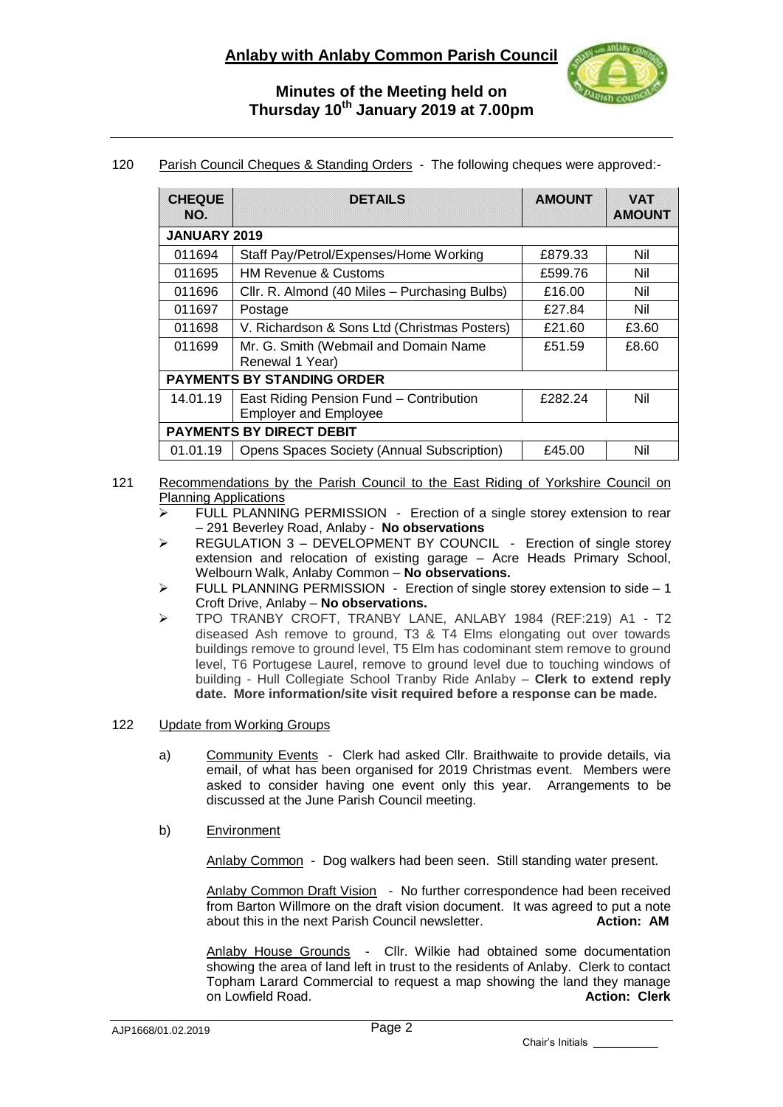

# 120 Parish Council Cheques & Standing Orders - The following cheques were approved:-

| <b>CHEQUE</b><br>NO.              | <b>DETAILS</b>                                                          | <b>AMOUNT</b> | <b>VAT</b><br><b>AMOUNT</b> |
|-----------------------------------|-------------------------------------------------------------------------|---------------|-----------------------------|
| JANUARY 2019                      |                                                                         |               |                             |
| 011694                            | Staff Pay/Petrol/Expenses/Home Working                                  | £879.33       | Nil                         |
| 011695                            | <b>HM Revenue &amp; Customs</b>                                         | £599.76       | Nil                         |
| 011696                            | Cllr. R. Almond (40 Miles - Purchasing Bulbs)                           | £16.00        | Nil                         |
| 011697                            | Postage                                                                 | £27.84        | Nil                         |
| 011698                            | V. Richardson & Sons Ltd (Christmas Posters)                            | £21.60        | £3.60                       |
| 011699                            | Mr. G. Smith (Webmail and Domain Name<br>Renewal 1 Year)                | £51.59        | £8.60                       |
| <b>PAYMENTS BY STANDING ORDER</b> |                                                                         |               |                             |
| 14.01.19                          | East Riding Pension Fund - Contribution<br><b>Employer and Employee</b> | £282.24       | Nil                         |
| <b>PAYMENTS BY DIRECT DEBIT</b>   |                                                                         |               |                             |
| 01.01.19                          | <b>Opens Spaces Society (Annual Subscription)</b>                       | £45.00        | Nil                         |

### 121 Recommendations by the Parish Council to the East Riding of Yorkshire Council on Planning Applications

- $\geq$  FULL PLANNING PERMISSION Erection of a single storey extension to rear – 291 Beverley Road, Anlaby - **No observations**
- > REGULATION 3 DEVELOPMENT BY COUNCIL Erection of single storey extension and relocation of existing garage – Acre Heads Primary School, Welbourn Walk, Anlaby Common – **No observations.**
- $\triangleright$  FULL PLANNING PERMISSION Erection of single storey extension to side 1 Croft Drive, Anlaby – **No observations.**
- TPO TRANBY CROFT, TRANBY LANE, ANLABY 1984 (REF:219) A1 T2 diseased Ash remove to ground, T3 & T4 Elms elongating out over towards buildings remove to ground level, T5 Elm has codominant stem remove to ground level, T6 Portugese Laurel, remove to ground level due to touching windows of building - Hull Collegiate School Tranby Ride Anlaby – **Clerk to extend reply date. More information/site visit required before a response can be made.**

### 122 Update from Working Groups

- a) Community Events Clerk had asked Cllr. Braithwaite to provide details, via email, of what has been organised for 2019 Christmas event. Members were asked to consider having one event only this year. Arrangements to be discussed at the June Parish Council meeting.
- b) Environment

Anlaby Common - Dog walkers had been seen. Still standing water present.

Anlaby Common Draft Vision - No further correspondence had been received from Barton Willmore on the draft vision document. It was agreed to put a note about this in the next Parish Council newsletter. **Action: AM** about this in the next Parish Council newsletter.

Anlaby House Grounds - Cllr. Wilkie had obtained some documentation showing the area of land left in trust to the residents of Anlaby. Clerk to contact Topham Larard Commercial to request a map showing the land they manage on Lowfield Road. **Action: Clerk Action: Clerk** 

Chair's Initials \_\_\_\_\_\_\_\_\_\_\_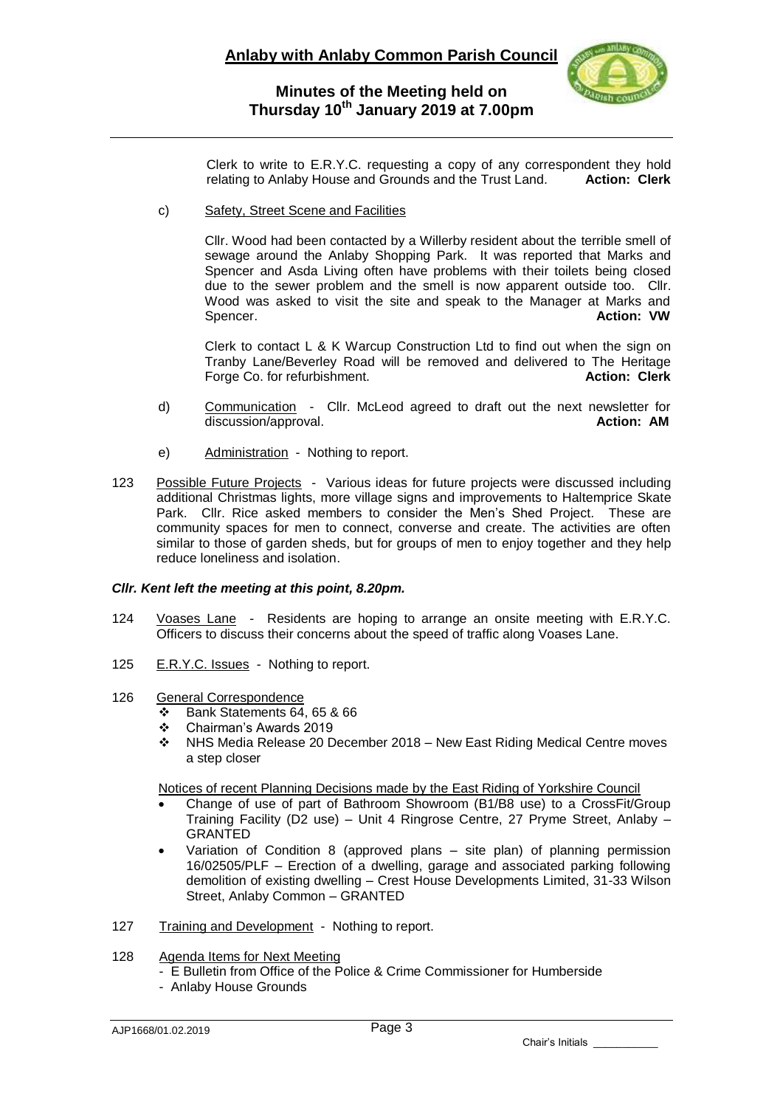

Clerk to write to E.R.Y.C. requesting a copy of any correspondent they hold relating to Anlaby House and Grounds and the Trust Land. **Action: Clerk**

c) Safety, Street Scene and Facilities

Cllr. Wood had been contacted by a Willerby resident about the terrible smell of sewage around the Anlaby Shopping Park. It was reported that Marks and Spencer and Asda Living often have problems with their toilets being closed due to the sewer problem and the smell is now apparent outside too. Cllr. Wood was asked to visit the site and speak to the Manager at Marks and Spencer. **Action: VW**

Clerk to contact L & K Warcup Construction Ltd to find out when the sign on Tranby Lane/Beverley Road will be removed and delivered to The Heritage Forge Co. for refurbishment. **Action: Clerk**

- d) Communication Cllr. McLeod agreed to draft out the next newsletter for discussion/approval. **Action: AM**
- e) Administration Nothing to report.
- 123 Possible Future Projects Various ideas for future projects were discussed including additional Christmas lights, more village signs and improvements to Haltemprice Skate Park. Cllr. Rice asked members to consider the Men's Shed Project. These are community spaces for men to connect, converse and create. The activities are often similar to those of garden sheds, but for groups of men to enjoy together and they help reduce loneliness and isolation.

#### *Cllr. Kent left the meeting at this point, 8.20pm.*

- 124 Voases Lane Residents are hoping to arrange an onsite meeting with E.R.Y.C. Officers to discuss their concerns about the speed of traffic along Voases Lane.
- 125 E.R.Y.C. Issues Nothing to report.
- 126 General Correspondence
	- $\div$  Bank Statements 64, 65 & 66
	- Chairman's Awards 2019
	- NHS Media Release 20 December 2018 New East Riding Medical Centre moves a step closer

Notices of recent Planning Decisions made by the East Riding of Yorkshire Council

- Change of use of part of Bathroom Showroom (B1/B8 use) to a CrossFit/Group Training Facility (D2 use) – Unit 4 Ringrose Centre, 27 Pryme Street, Anlaby – GRANTED
- Variation of Condition 8 (approved plans site plan) of planning permission 16/02505/PLF – Erection of a dwelling, garage and associated parking following demolition of existing dwelling – Crest House Developments Limited, 31-33 Wilson Street, Anlaby Common – GRANTED
- 127 Training and Development Nothing to report.
- 128 Agenda Items for Next Meeting
	- E Bulletin from Office of the Police & Crime Commissioner for Humberside
	- Anlaby House Grounds

Chair's Initials \_\_\_\_\_\_\_\_\_\_\_